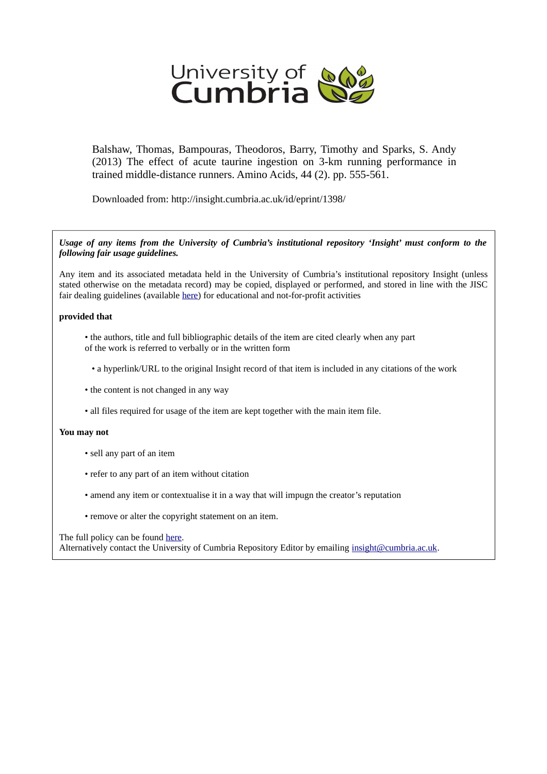

Balshaw, Thomas, Bampouras, Theodoros, Barry, Timothy and Sparks, S. Andy (2013) The effect of acute taurine ingestion on 3-km running performance in trained middle-distance runners. Amino Acids, 44 (2). pp. 555-561.

Downloaded from: http://insight.cumbria.ac.uk/id/eprint/1398/

*Usage of any items from the University of Cumbria's institutional repository 'Insight' must conform to the following fair usage guidelines.*

Any item and its associated metadata held in the University of Cumbria's institutional repository Insight (unless stated otherwise on the metadata record) may be copied, displayed or performed, and stored in line with the JISC fair dealing guidelines (available [here\)](http://www.ukoln.ac.uk/services/elib/papers/pa/fair/) for educational and not-for-profit activities

# **provided that**

- the authors, title and full bibliographic details of the item are cited clearly when any part of the work is referred to verbally or in the written form
	- a hyperlink/URL to the original Insight record of that item is included in any citations of the work
- the content is not changed in any way
- all files required for usage of the item are kept together with the main item file.

# **You may not**

- sell any part of an item
- refer to any part of an item without citation
- amend any item or contextualise it in a way that will impugn the creator's reputation
- remove or alter the copyright statement on an item.

## The full policy can be found [here.](http://insight.cumbria.ac.uk/legal.html#section5)

Alternatively contact the University of Cumbria Repository Editor by emailing [insight@cumbria.ac.uk.](mailto:insight@cumbria.ac.uk)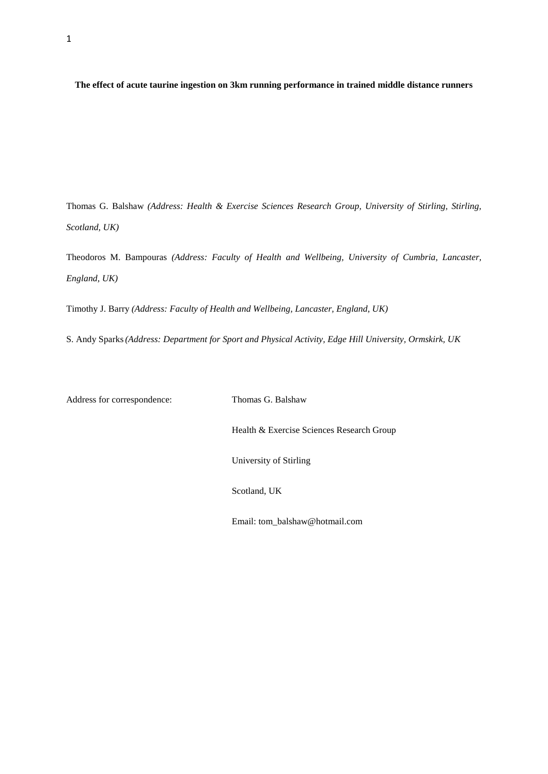**The effect of acute taurine ingestion on 3km running performance in trained middle distance runners**

Thomas G. Balshaw *(Address: Health & Exercise Sciences Research Group, University of Stirling, Stirling, Scotland, UK)*

Theodoros M. Bampouras *(Address: Faculty of Health and Wellbeing, University of Cumbria, Lancaster, England, UK)*

Timothy J. Barry *(Address: Faculty of Health and Wellbeing, Lancaster, England, UK)*

S. Andy Sparks*(Address: Department for Sport and Physical Activity, Edge Hill University, Ormskirk, UK*

Address for correspondence: Thomas G. Balshaw

Health & Exercise Sciences Research Group

University of Stirling

Scotland, UK

Email: tom\_balshaw@hotmail.com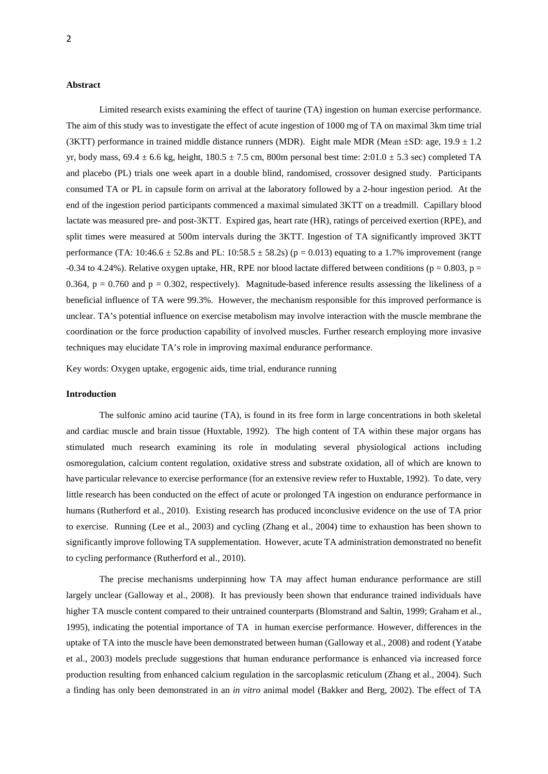# **Abstract**

Limited research exists examining the effect of taurine (TA) ingestion on human exercise performance. The aim of this study was to investigate the effect of acute ingestion of 1000 mg of TA on maximal 3km time trial (3KTT) performance in trained middle distance runners (MDR). Eight male MDR (Mean  $\pm$ SD: age, 19.9  $\pm$  1.2 yr, body mass,  $69.4 \pm 6.6$  kg, height,  $180.5 \pm 7.5$  cm, 800m personal best time:  $2:01.0 \pm 5.3$  sec) completed TA and placebo (PL) trials one week apart in a double blind, randomised, crossover designed study. Participants consumed TA or PL in capsule form on arrival at the laboratory followed by a 2-hour ingestion period. At the end of the ingestion period participants commenced a maximal simulated 3KTT on a treadmill. Capillary blood lactate was measured pre- and post-3KTT. Expired gas, heart rate (HR), ratings of perceived exertion (RPE), and split times were measured at 500m intervals during the 3KTT. Ingestion of TA significantly improved 3KTT performance (TA:  $10:46.6 \pm 52.8s$  and PL:  $10:58.5 \pm 58.2s$ ) (p = 0.013) equating to a 1.7% improvement (range -0.34 to 4.24%). Relative oxygen uptake, HR, RPE nor blood lactate differed between conditions ( $p = 0.803$ ,  $p =$ 0.364,  $p = 0.760$  and  $p = 0.302$ , respectively). Magnitude-based inference results assessing the likeliness of a beneficial influence of TA were 99.3%. However, the mechanism responsible for this improved performance is unclear. TA's potential influence on exercise metabolism may involve interaction with the muscle membrane the coordination or the force production capability of involved muscles. Further research employing more invasive techniques may elucidate TA's role in improving maximal endurance performance.

Key words: Oxygen uptake, ergogenic aids, time trial, endurance running

## **Introduction**

The sulfonic amino acid taurine (TA), is found in its free form in large concentrations in both skeletal and cardiac muscle and brain tissue (Huxtable, 1992). The high content of TA within these major organs has stimulated much research examining its role in modulating several physiological actions including osmoregulation, calcium content regulation, oxidative stress and substrate oxidation, all of which are known to have particular relevance to exercise performance (for an extensive review refer to Huxtable, 1992). To date, very little research has been conducted on the effect of acute or prolonged TA ingestion on endurance performance in humans (Rutherford et al., 2010). Existing research has produced inconclusive evidence on the use of TA prior to exercise. Running (Lee et al., 2003) and cycling (Zhang et al., 2004) time to exhaustion has been shown to significantly improve following TA supplementation. However, acute TA administration demonstrated no benefit to cycling performance (Rutherford et al., 2010).

The precise mechanisms underpinning how TA may affect human endurance performance are still largely unclear (Galloway et al., 2008). It has previously been shown that endurance trained individuals have higher TA muscle content compared to their untrained counterparts (Blomstrand and Saltin, 1999; Graham et al., 1995), indicating the potential importance of TA in human exercise performance. However, differences in the uptake of TA into the muscle have been demonstrated between human (Galloway et al., 2008) and rodent (Yatabe et al., 2003) models preclude suggestions that human endurance performance is enhanced via increased force production resulting from enhanced calcium regulation in the sarcoplasmic reticulum (Zhang et al., 2004). Such a finding has only been demonstrated in an *in vitro* animal model (Bakker and Berg, 2002). The effect of TA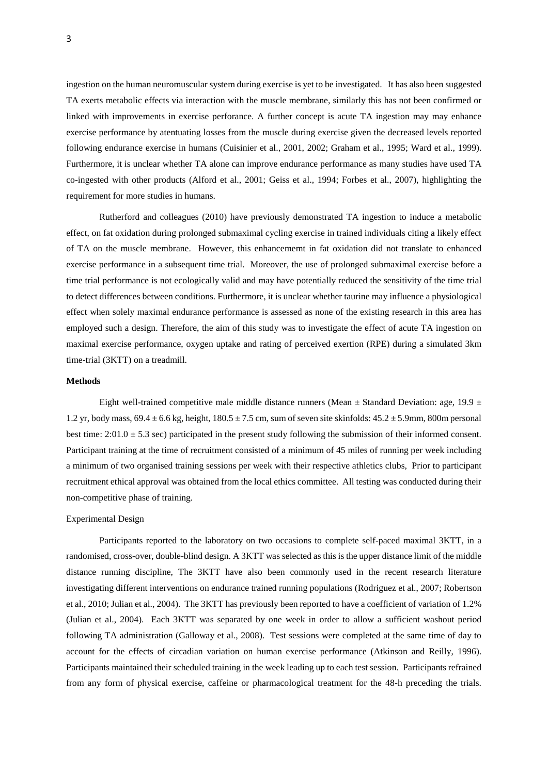ingestion on the human neuromuscular system during exercise is yet to be investigated. It has also been suggested TA exerts metabolic effects via interaction with the muscle membrane, similarly this has not been confirmed or linked with improvements in exercise perforance. A further concept is acute TA ingestion may may enhance exercise performance by atentuating losses from the muscle during exercise given the decreased levels reported following endurance exercise in humans (Cuisinier et al., 2001, 2002; Graham et al., 1995; Ward et al., 1999). Furthermore, it is unclear whether TA alone can improve endurance performance as many studies have used TA co-ingested with other products (Alford et al., 2001; Geiss et al., 1994; Forbes et al., 2007), highlighting the requirement for more studies in humans.

Rutherford and colleagues (2010) have previously demonstrated TA ingestion to induce a metabolic effect, on fat oxidation during prolonged submaximal cycling exercise in trained individuals citing a likely effect of TA on the muscle membrane. However, this enhancememt in fat oxidation did not translate to enhanced exercise performance in a subsequent time trial. Moreover, the use of prolonged submaximal exercise before a time trial performance is not ecologically valid and may have potentially reduced the sensitivity of the time trial to detect differences between conditions. Furthermore, it is unclear whether taurine may influence a physiological effect when solely maximal endurance performance is assessed as none of the existing research in this area has employed such a design. Therefore, the aim of this study was to investigate the effect of acute TA ingestion on maximal exercise performance, oxygen uptake and rating of perceived exertion (RPE) during a simulated 3km time-trial (3KTT) on a treadmill.

## **Methods**

Eight well-trained competitive male middle distance runners (Mean  $\pm$  Standard Deviation: age, 19.9  $\pm$ 1.2 yr, body mass,  $69.4 \pm 6.6$  kg, height,  $180.5 \pm 7.5$  cm, sum of seven site skinfolds:  $45.2 \pm 5.9$ mm, 800m personal best time:  $2:01.0 \pm 5.3$  sec) participated in the present study following the submission of their informed consent. Participant training at the time of recruitment consisted of a minimum of 45 miles of running per week including a minimum of two organised training sessions per week with their respective athletics clubs, Prior to participant recruitment ethical approval was obtained from the local ethics committee. All testing was conducted during their non-competitive phase of training.

# Experimental Design

Participants reported to the laboratory on two occasions to complete self-paced maximal 3KTT, in a randomised, cross-over, double-blind design. A 3KTT was selected as this is the upper distance limit of the middle distance running discipline, The 3KTT have also been commonly used in the recent research literature investigating different interventions on endurance trained running populations (Rodriguez et al., 2007; Robertson et al., 2010; Julian et al., 2004). The 3KTT has previously been reported to have a coefficient of variation of 1.2% (Julian et al., 2004). Each 3KTT was separated by one week in order to allow a sufficient washout period following TA administration (Galloway et al., 2008). Test sessions were completed at the same time of day to account for the effects of circadian variation on human exercise performance (Atkinson and Reilly, 1996). Participants maintained their scheduled training in the week leading up to each test session. Participants refrained from any form of physical exercise, caffeine or pharmacological treatment for the 48-h preceding the trials.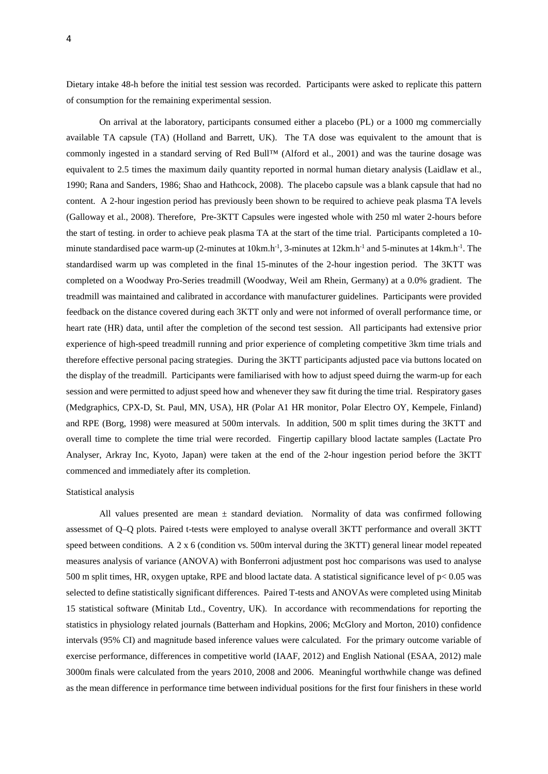Dietary intake 48-h before the initial test session was recorded. Participants were asked to replicate this pattern of consumption for the remaining experimental session.

On arrival at the laboratory, participants consumed either a placebo (PL) or a 1000 mg commercially available TA capsule (TA) (Holland and Barrett, UK). The TA dose was equivalent to the amount that is commonly ingested in a standard serving of Red Bull™ (Alford et al., 2001) and was the taurine dosage was equivalent to 2.5 times the maximum daily quantity reported in normal human dietary analysis (Laidlaw et al., 1990; Rana and Sanders, 1986; Shao and Hathcock, 2008). The placebo capsule was a blank capsule that had no content. A 2-hour ingestion period has previously been shown to be required to achieve peak plasma TA levels (Galloway et al., 2008). Therefore, Pre-3KTT Capsules were ingested whole with 250 ml water 2-hours before the start of testing. in order to achieve peak plasma TA at the start of the time trial. Participants completed a 10 minute standardised pace warm-up (2-minutes at  $10km.h^{-1}$ , 3-minutes at  $12km.h^{-1}$  and 5-minutes at  $14km.h^{-1}$ . The standardised warm up was completed in the final 15-minutes of the 2-hour ingestion period. The 3KTT was completed on a Woodway Pro-Series treadmill (Woodway, Weil am Rhein, Germany) at a 0.0% gradient. The treadmill was maintained and calibrated in accordance with manufacturer guidelines. Participants were provided feedback on the distance covered during each 3KTT only and were not informed of overall performance time, or heart rate (HR) data, until after the completion of the second test session. All participants had extensive prior experience of high-speed treadmill running and prior experience of completing competitive 3km time trials and therefore effective personal pacing strategies. During the 3KTT participants adjusted pace via buttons located on the display of the treadmill. Participants were familiarised with how to adjust speed duirng the warm-up for each session and were permitted to adjust speed how and whenever they saw fit during the time trial. Respiratory gases (Medgraphics, CPX-D, St. Paul, MN, USA), HR (Polar A1 HR monitor, Polar Electro OY, Kempele, Finland) and RPE (Borg, 1998) were measured at 500m intervals. In addition, 500 m split times during the 3KTT and overall time to complete the time trial were recorded. Fingertip capillary blood lactate samples (Lactate Pro Analyser, Arkray Inc, Kyoto, Japan) were taken at the end of the 2-hour ingestion period before the 3KTT commenced and immediately after its completion.

#### Statistical analysis

All values presented are mean  $\pm$  standard deviation. Normality of data was confirmed following assessmet of Q–Q plots. Paired t-tests were employed to analyse overall 3KTT performance and overall 3KTT speed between conditions. A 2 x 6 (condition vs. 500m interval during the 3KTT) general linear model repeated measures analysis of variance (ANOVA) with Bonferroni adjustment post hoc comparisons was used to analyse 500 m split times, HR, oxygen uptake, RPE and blood lactate data. A statistical significance level of p< 0.05 was selected to define statistically significant differences. Paired T-tests and ANOVAs were completed using Minitab 15 statistical software (Minitab Ltd., Coventry, UK). In accordance with recommendations for reporting the statistics in physiology related journals (Batterham and Hopkins, 2006; McGlory and Morton, 2010) confidence intervals (95% CI) and magnitude based inference values were calculated. For the primary outcome variable of exercise performance, differences in competitive world (IAAF, 2012) and English National (ESAA, 2012) male 3000m finals were calculated from the years 2010, 2008 and 2006. Meaningful worthwhile change was defined as the mean difference in performance time between individual positions for the first four finishers in these world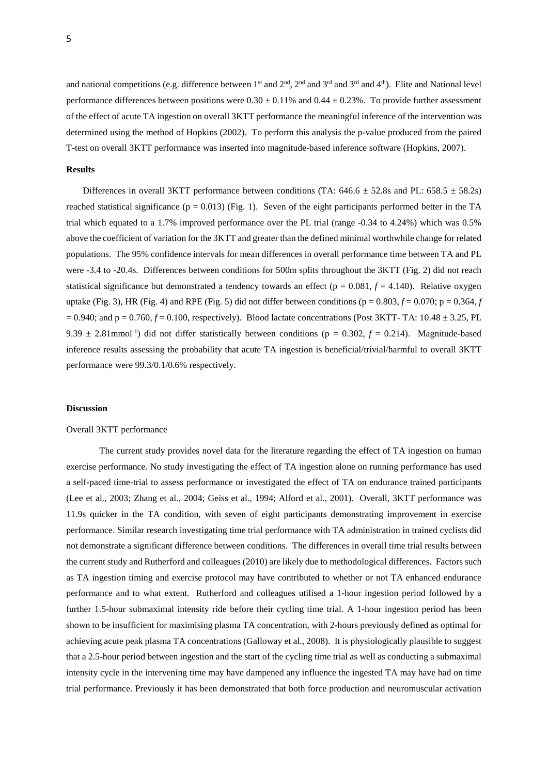and national competitions (e.g. difference between  $1^{st}$  and  $2^{nd}$ ,  $2^{nd}$  and  $3^{rd}$  and  $3^{rd}$  and  $4^{th}$ ). Elite and National level performance differences between positions were  $0.30 \pm 0.11\%$  and  $0.44 \pm 0.23\%$ . To provide further assessment of the effect of acute TA ingestion on overall 3KTT performance the meaningful inference of the intervention was determined using the method of Hopkins (2002). To perform this analysis the p-value produced from the paired T-test on overall 3KTT performance was inserted into magnitude-based inference software (Hopkins, 2007).

#### **Results**

Differences in overall 3KTT performance between conditions (TA:  $646.6 \pm 52.8s$  and PL:  $658.5 \pm 58.2s$ ) reached statistical significance ( $p = 0.013$ ) (Fig. 1). Seven of the eight participants performed better in the TA trial which equated to a 1.7% improved performance over the PL trial (range -0.34 to 4.24%) which was 0.5% above the coefficient of variation for the 3KTT and greater than the defined minimal worthwhile change for related populations. The 95% confidence intervals for mean differences in overall performance time between TA and PL were -3.4 to -20.4s. Differences between conditions for 500m splits throughout the 3KTT (Fig. 2) did not reach statistical significance but demonstrated a tendency towards an effect ( $p = 0.081$ ,  $f = 4.140$ ). Relative oxygen uptake (Fig. 3), HR (Fig. 4) and RPE (Fig. 5) did not differ between conditions ( $p = 0.803$ ,  $f = 0.070$ ;  $p = 0.364$ , *f*  $= 0.940$ ; and  $p = 0.760$ ,  $f = 0.100$ , respectively). Blood lactate concentrations (Post 3KTT- TA: 10.48  $\pm$  3.25, PL 9.39  $\pm$  2.81 mmol<sup>-1</sup>) did not differ statistically between conditions ( $p = 0.302$ ,  $f = 0.214$ ). Magnitude-based inference results assessing the probability that acute TA ingestion is beneficial/trivial/harmful to overall 3KTT performance were 99.3/0.1/0.6% respectively.

## **Discussion**

# Overall 3KTT performance

The current study provides novel data for the literature regarding the effect of TA ingestion on human exercise performance. No study investigating the effect of TA ingestion alone on running performance has used a self-paced time-trial to assess performance or investigated the effect of TA on endurance trained participants (Lee et al., 2003; Zhang et al., 2004; Geiss et al., 1994; Alford et al., 2001). Overall, 3KTT performance was 11.9s quicker in the TA condition, with seven of eight participants demonstrating improvement in exercise performance. Similar research investigating time trial performance with TA administration in trained cyclists did not demonstrate a significant difference between conditions. The differences in overall time trial results between the current study and Rutherford and colleagues (2010) are likely due to methodological differences. Factors such as TA ingestion timing and exercise protocol may have contributed to whether or not TA enhanced endurance performance and to what extent. Rutherford and colleagues utilised a 1-hour ingestion period followed by a further 1.5-hour submaximal intensity ride before their cycling time trial. A 1-hour ingestion period has been shown to be insufficient for maximising plasma TA concentration, with 2-hours previously defined as optimal for achieving acute peak plasma TA concentrations (Galloway et al., 2008). It is physiologically plausible to suggest that a 2.5-hour period between ingestion and the start of the cycling time trial as well as conducting a submaximal intensity cycle in the intervening time may have dampened any influence the ingested TA may have had on time trial performance. Previously it has been demonstrated that both force production and neuromuscular activation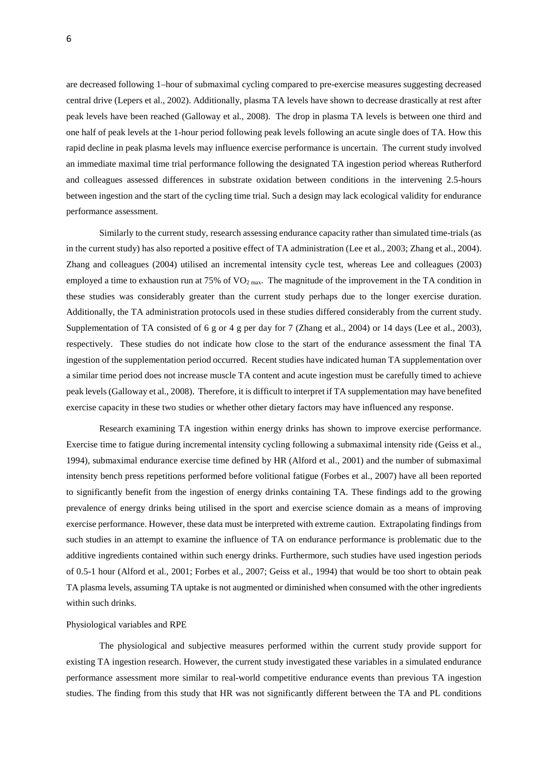are decreased following 1–hour of submaximal cycling compared to pre-exercise measures suggesting decreased central drive (Lepers et al., 2002). Additionally, plasma TA levels have shown to decrease drastically at rest after peak levels have been reached (Galloway et al., 2008). The drop in plasma TA levels is between one third and one half of peak levels at the 1-hour period following peak levels following an acute single does of TA. How this rapid decline in peak plasma levels may influence exercise performance is uncertain. The current study involved an immediate maximal time trial performance following the designated TA ingestion period whereas Rutherford and colleagues assessed differences in substrate oxidation between conditions in the intervening 2.5-hours between ingestion and the start of the cycling time trial. Such a design may lack ecological validity for endurance performance assessment.

Similarly to the current study, research assessing endurance capacity rather than simulated time-trials (as in the current study) has also reported a positive effect of TA administration (Lee et al., 2003; Zhang et al., 2004). Zhang and colleagues (2004) utilised an incremental intensity cycle test, whereas Lee and colleagues (2003) employed a time to exhaustion run at 75% of  $VO_{2\text{ max}}$ . The magnitude of the improvement in the TA condition in these studies was considerably greater than the current study perhaps due to the longer exercise duration. Additionally, the TA administration protocols used in these studies differed considerably from the current study. Supplementation of TA consisted of 6 g or 4 g per day for 7 (Zhang et al., 2004) or 14 days (Lee et al., 2003), respectively. These studies do not indicate how close to the start of the endurance assessment the final TA ingestion of the supplementation period occurred. Recent studies have indicated human TA supplementation over a similar time period does not increase muscle TA content and acute ingestion must be carefully timed to achieve peak levels (Galloway et al., 2008). Therefore, it is difficult to interpret if TA supplementation may have benefited exercise capacity in these two studies or whether other dietary factors may have influenced any response.

Research examining TA ingestion within energy drinks has shown to improve exercise performance. Exercise time to fatigue during incremental intensity cycling following a submaximal intensity ride (Geiss et al., 1994), submaximal endurance exercise time defined by HR (Alford et al., 2001) and the number of submaximal intensity bench press repetitions performed before volitional fatigue (Forbes et al., 2007) have all been reported to significantly benefit from the ingestion of energy drinks containing TA. These findings add to the growing prevalence of energy drinks being utilised in the sport and exercise science domain as a means of improving exercise performance. However, these data must be interpreted with extreme caution. Extrapolating findings from such studies in an attempt to examine the influence of TA on endurance performance is problematic due to the additive ingredients contained within such energy drinks. Furthermore, such studies have used ingestion periods of 0.5-1 hour (Alford et al., 2001; Forbes et al., 2007; Geiss et al., 1994) that would be too short to obtain peak TA plasma levels, assuming TA uptake is not augmented or diminished when consumed with the other ingredients within such drinks.

#### Physiological variables and RPE

The physiological and subjective measures performed within the current study provide support for existing TA ingestion research. However, the current study investigated these variables in a simulated endurance performance assessment more similar to real-world competitive endurance events than previous TA ingestion studies. The finding from this study that HR was not significantly different between the TA and PL conditions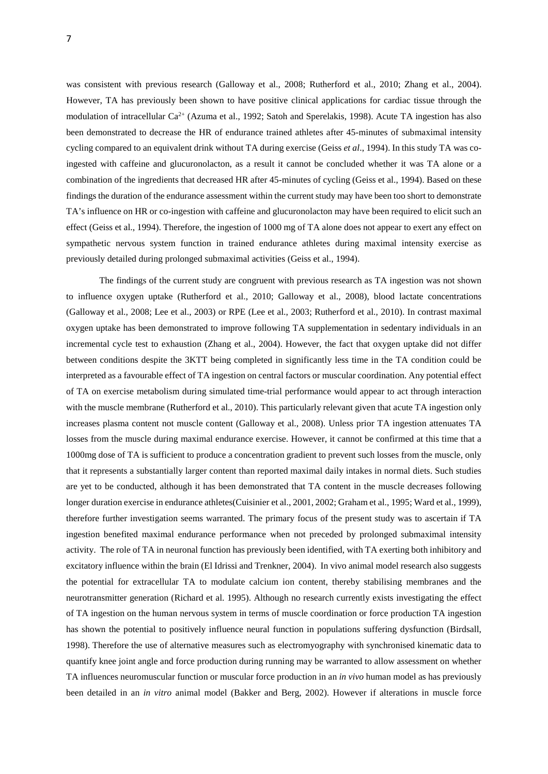was consistent with previous research (Galloway et al., 2008; Rutherford et al., 2010; Zhang et al., 2004). However, TA has previously been shown to have positive clinical applications for cardiac tissue through the modulation of intracellular  $Ca^{2+}$  (Azuma et al., 1992; Satoh and Sperelakis, 1998). Acute TA ingestion has also been demonstrated to decrease the HR of endurance trained athletes after 45-minutes of submaximal intensity cycling compared to an equivalent drink without TA during exercise (Geiss *et al*., 1994). In this study TA was coingested with caffeine and glucuronolacton, as a result it cannot be concluded whether it was TA alone or a combination of the ingredients that decreased HR after 45-minutes of cycling (Geiss et al., 1994). Based on these findings the duration of the endurance assessment within the current study may have been too short to demonstrate TA's influence on HR or co-ingestion with caffeine and glucuronolacton may have been required to elicit such an effect (Geiss et al., 1994). Therefore, the ingestion of 1000 mg of TA alone does not appear to exert any effect on sympathetic nervous system function in trained endurance athletes during maximal intensity exercise as previously detailed during prolonged submaximal activities (Geiss et al., 1994).

The findings of the current study are congruent with previous research as TA ingestion was not shown to influence oxygen uptake (Rutherford et al., 2010; Galloway et al., 2008), blood lactate concentrations (Galloway et al., 2008; Lee et al., 2003) or RPE (Lee et al., 2003; Rutherford et al., 2010). In contrast maximal oxygen uptake has been demonstrated to improve following TA supplementation in sedentary individuals in an incremental cycle test to exhaustion (Zhang et al., 2004). However, the fact that oxygen uptake did not differ between conditions despite the 3KTT being completed in significantly less time in the TA condition could be interpreted as a favourable effect of TA ingestion on central factors or muscular coordination. Any potential effect of TA on exercise metabolism during simulated time-trial performance would appear to act through interaction with the muscle membrane (Rutherford et al., 2010). This particularly relevant given that acute TA ingestion only increases plasma content not muscle content (Galloway et al., 2008). Unless prior TA ingestion attenuates TA losses from the muscle during maximal endurance exercise. However, it cannot be confirmed at this time that a 1000mg dose of TA is sufficient to produce a concentration gradient to prevent such losses from the muscle, only that it represents a substantially larger content than reported maximal daily intakes in normal diets. Such studies are yet to be conducted, although it has been demonstrated that TA content in the muscle decreases following longer duration exercise in endurance athletes(Cuisinier et al., 2001, 2002; Graham et al., 1995; Ward et al., 1999), therefore further investigation seems warranted. The primary focus of the present study was to ascertain if TA ingestion benefited maximal endurance performance when not preceded by prolonged submaximal intensity activity. The role of TA in neuronal function has previously been identified, with TA exerting both inhibitory and excitatory influence within the brain (El Idrissi and Trenkner, 2004). In vivo animal model research also suggests the potential for extracellular TA to modulate calcium ion content, thereby stabilising membranes and the neurotransmitter generation (Richard et al. 1995). Although no research currently exists investigating the effect of TA ingestion on the human nervous system in terms of muscle coordination or force production TA ingestion has shown the potential to positively influence neural function in populations suffering dysfunction (Birdsall, 1998). Therefore the use of alternative measures such as electromyography with synchronised kinematic data to quantify knee joint angle and force production during running may be warranted to allow assessment on whether TA influences neuromuscular function or muscular force production in an *in vivo* human model as has previously been detailed in an *in vitro* animal model (Bakker and Berg, 2002). However if alterations in muscle force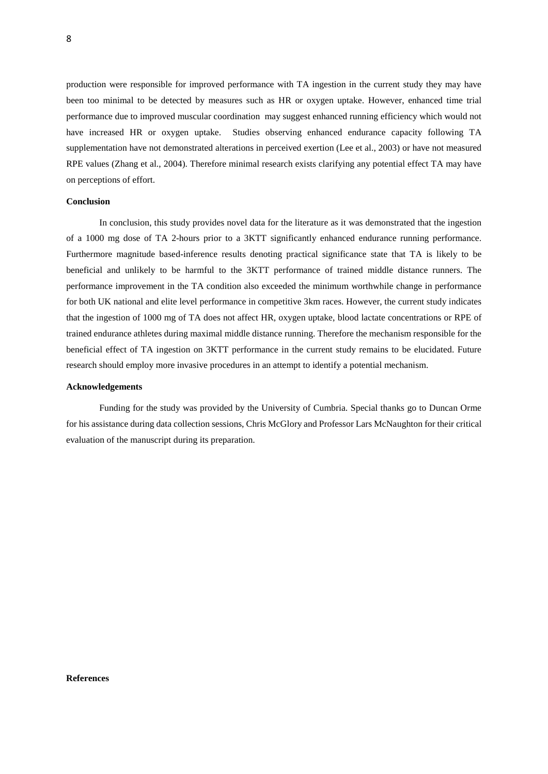production were responsible for improved performance with TA ingestion in the current study they may have been too minimal to be detected by measures such as HR or oxygen uptake. However, enhanced time trial performance due to improved muscular coordination may suggest enhanced running efficiency which would not have increased HR or oxygen uptake. Studies observing enhanced endurance capacity following TA supplementation have not demonstrated alterations in perceived exertion (Lee et al., 2003) or have not measured RPE values (Zhang et al., 2004). Therefore minimal research exists clarifying any potential effect TA may have on perceptions of effort.

## **Conclusion**

In conclusion, this study provides novel data for the literature as it was demonstrated that the ingestion of a 1000 mg dose of TA 2-hours prior to a 3KTT significantly enhanced endurance running performance. Furthermore magnitude based-inference results denoting practical significance state that TA is likely to be beneficial and unlikely to be harmful to the 3KTT performance of trained middle distance runners. The performance improvement in the TA condition also exceeded the minimum worthwhile change in performance for both UK national and elite level performance in competitive 3km races. However, the current study indicates that the ingestion of 1000 mg of TA does not affect HR, oxygen uptake, blood lactate concentrations or RPE of trained endurance athletes during maximal middle distance running. Therefore the mechanism responsible for the beneficial effect of TA ingestion on 3KTT performance in the current study remains to be elucidated. Future research should employ more invasive procedures in an attempt to identify a potential mechanism.

## **Acknowledgements**

Funding for the study was provided by the University of Cumbria. Special thanks go to Duncan Orme for his assistance during data collection sessions, Chris McGlory and Professor Lars McNaughton for their critical evaluation of the manuscript during its preparation.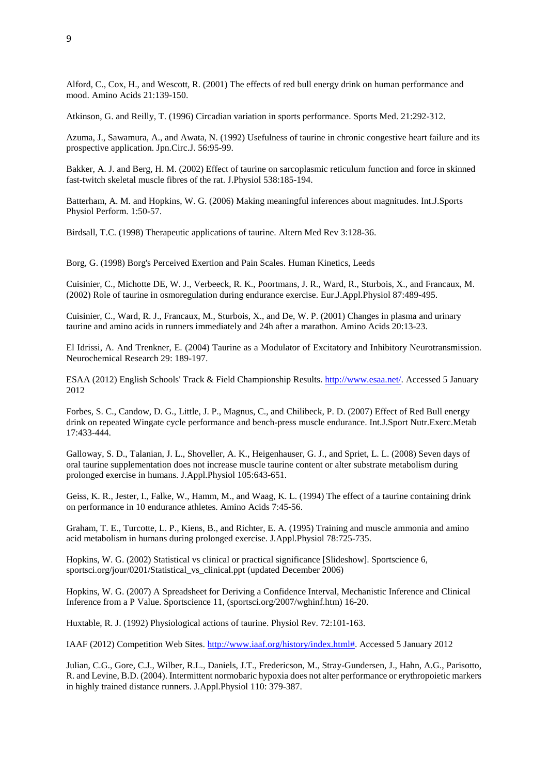Alford, C., Cox, H., and Wescott, R. (2001) The effects of red bull energy drink on human performance and mood. Amino Acids 21:139-150.

Atkinson, G. and Reilly, T. (1996) Circadian variation in sports performance. Sports Med. 21:292-312.

Azuma, J., Sawamura, A., and Awata, N. (1992) Usefulness of taurine in chronic congestive heart failure and its prospective application. Jpn.Circ.J. 56:95-99.

Bakker, A. J. and Berg, H. M. (2002) Effect of taurine on sarcoplasmic reticulum function and force in skinned fast-twitch skeletal muscle fibres of the rat. J.Physiol 538:185-194.

Batterham, A. M. and Hopkins, W. G. (2006) Making meaningful inferences about magnitudes. Int.J.Sports Physiol Perform. 1:50-57.

Birdsall, T.C. (1998) Therapeutic applications of taurine. Altern Med Rev 3:128-36.

Borg, G. (1998) Borg's Perceived Exertion and Pain Scales. Human Kinetics, Leeds

Cuisinier, C., Michotte DE, W. J., Verbeeck, R. K., Poortmans, J. R., Ward, R., Sturbois, X., and Francaux, M. (2002) Role of taurine in osmoregulation during endurance exercise. Eur.J.Appl.Physiol 87:489-495.

Cuisinier, C., Ward, R. J., Francaux, M., Sturbois, X., and De, W. P. (2001) Changes in plasma and urinary taurine and amino acids in runners immediately and 24h after a marathon. Amino Acids 20:13-23.

El Idrissi, A. And Trenkner, E. (2004) Taurine as a Modulator of Excitatory and Inhibitory Neurotransmission. Neurochemical Research 29: 189-197.

ESAA (2012) English Schools' Track & Field Championship Results. [http://www.esaa.net/.](http://www.esaa.net/) Accessed 5 January 2012

Forbes, S. C., Candow, D. G., Little, J. P., Magnus, C., and Chilibeck, P. D. (2007) Effect of Red Bull energy drink on repeated Wingate cycle performance and bench-press muscle endurance. Int.J.Sport Nutr.Exerc.Metab 17:433-444.

Galloway, S. D., Talanian, J. L., Shoveller, A. K., Heigenhauser, G. J., and Spriet, L. L. (2008) Seven days of oral taurine supplementation does not increase muscle taurine content or alter substrate metabolism during prolonged exercise in humans. J.Appl.Physiol 105:643-651.

Geiss, K. R., Jester, I., Falke, W., Hamm, M., and Waag, K. L. (1994) The effect of a taurine containing drink on performance in 10 endurance athletes. Amino Acids 7:45-56.

Graham, T. E., Turcotte, L. P., Kiens, B., and Richter, E. A. (1995) Training and muscle ammonia and amino acid metabolism in humans during prolonged exercise. J.Appl.Physiol 78:725-735.

Hopkins, W. G. (2002) Statistical vs clinical or practical significance [Slideshow]. Sportscience 6, sportsci.org/jour/0201/Statistical\_vs\_clinical.ppt (updated December 2006)

Hopkins, W. G. (2007) A Spreadsheet for Deriving a Confidence Interval, Mechanistic Inference and Clinical Inference from a P Value. Sportscience 11, (sportsci.org/2007/wghinf.htm) 16-20.

Huxtable, R. J. (1992) Physiological actions of taurine. Physiol Rev. 72:101-163.

IAAF (2012) Competition Web Sites. [http://www.iaaf.org/history/index.html#.](http://www.iaaf.org/history/index.html) Accessed 5 January 2012

Julian, C.G., Gore, C.J., Wilber, R.L., Daniels, J.T., Fredericson, M., Stray-Gundersen, J., Hahn, A.G., Parisotto, R. and Levine, B.D. (2004). Intermittent normobaric hypoxia does not alter performance or erythropoietic markers in highly trained distance runners. J.Appl.Physiol 110: 379-387.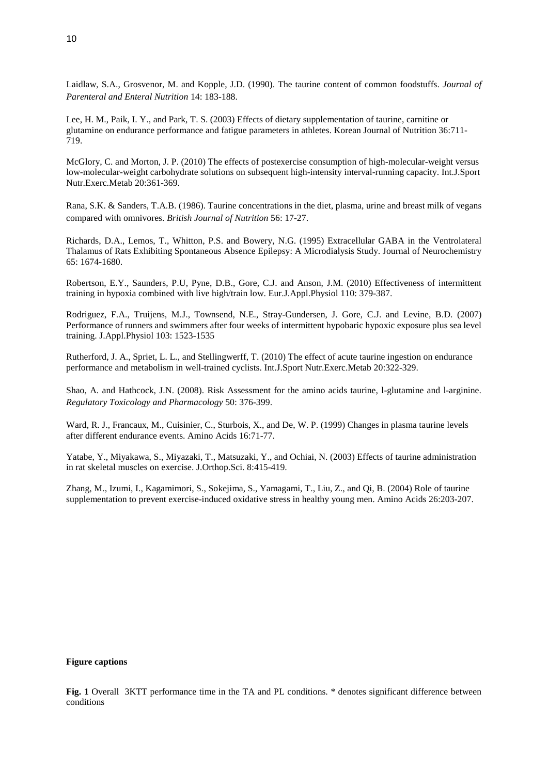Laidlaw, S.A., Grosvenor, M. and Kopple, J.D. (1990). The taurine content of common foodstuffs. *Journal of Parenteral and Enteral Nutrition* 14: 183-188.

Lee, H. M., Paik, I. Y., and Park, T. S. (2003) Effects of dietary supplementation of taurine, carnitine or glutamine on endurance performance and fatigue parameters in athletes. Korean Journal of Nutrition 36:711- 719.

McGlory, C. and Morton, J. P. (2010) The effects of postexercise consumption of high-molecular-weight versus low-molecular-weight carbohydrate solutions on subsequent high-intensity interval-running capacity. Int.J.Sport Nutr.Exerc.Metab 20:361-369.

Rana, S.K. & Sanders, T.A.B. (1986). Taurine concentrations in the diet, plasma, urine and breast milk of vegans compared with omnivores. *British Journal of Nutrition* 56: 17-27.

Richards, D.A., Lemos, T., Whitton, P.S. and Bowery, N.G. (1995) Extracellular GABA in the Ventrolateral Thalamus of Rats Exhibiting Spontaneous Absence Epilepsy: A Microdialysis Study. Journal of Neurochemistry 65: 1674-1680.

Robertson, E.Y., Saunders, P.U, Pyne, D.B., Gore, C.J. and Anson, J.M. (2010) Effectiveness of intermittent training in hypoxia combined with live high/train low. Eur.J.Appl.Physiol 110: 379-387.

Rodriguez, F.A., Truijens, M.J., Townsend, N.E., Stray-Gundersen, J. Gore, C.J. and Levine, B.D. (2007) Performance of runners and swimmers after four weeks of intermittent hypobaric hypoxic exposure plus sea level training. J.Appl.Physiol 103: 1523-1535

Rutherford, J. A., Spriet, L. L., and Stellingwerff, T. (2010) The effect of acute taurine ingestion on endurance performance and metabolism in well-trained cyclists. Int.J.Sport Nutr.Exerc.Metab 20:322-329.

Shao, A. and Hathcock, J.N. (2008). Risk Assessment for the amino acids taurine, l-glutamine and l-arginine. *Regulatory Toxicology and Pharmacology* 50: 376-399.

Ward, R. J., Francaux, M., Cuisinier, C., Sturbois, X., and De, W. P. (1999) Changes in plasma taurine levels after different endurance events. Amino Acids 16:71-77.

Yatabe, Y., Miyakawa, S., Miyazaki, T., Matsuzaki, Y., and Ochiai, N. (2003) Effects of taurine administration in rat skeletal muscles on exercise. J.Orthop.Sci. 8:415-419.

Zhang, M., Izumi, I., Kagamimori, S., Sokejima, S., Yamagami, T., Liu, Z., and Qi, B. (2004) Role of taurine supplementation to prevent exercise-induced oxidative stress in healthy young men. Amino Acids 26:203-207.

# **Figure captions**

Fig. 1 Overall 3KTT performance time in the TA and PL conditions. \* denotes significant difference between conditions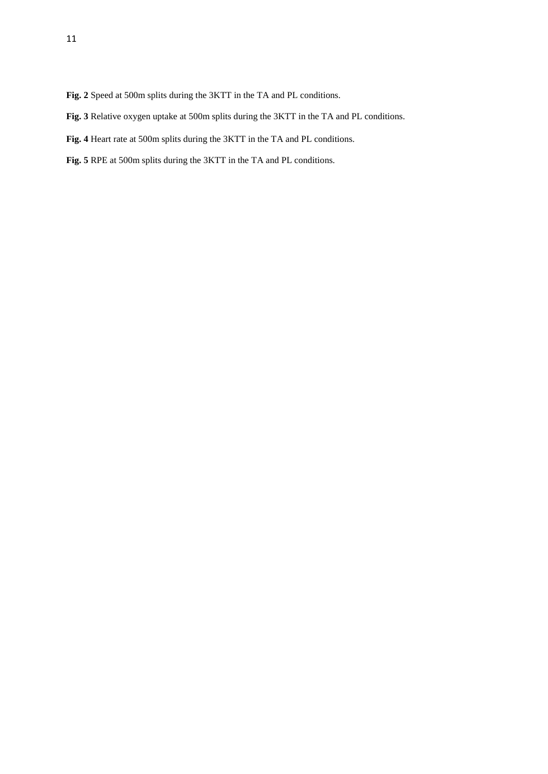- **Fig. 2** Speed at 500m splits during the 3KTT in the TA and PL conditions.
- **Fig. 3** Relative oxygen uptake at 500m splits during the 3KTT in the TA and PL conditions.
- **Fig. 4** Heart rate at 500m splits during the 3KTT in the TA and PL conditions.
- **Fig. 5** RPE at 500m splits during the 3KTT in the TA and PL conditions.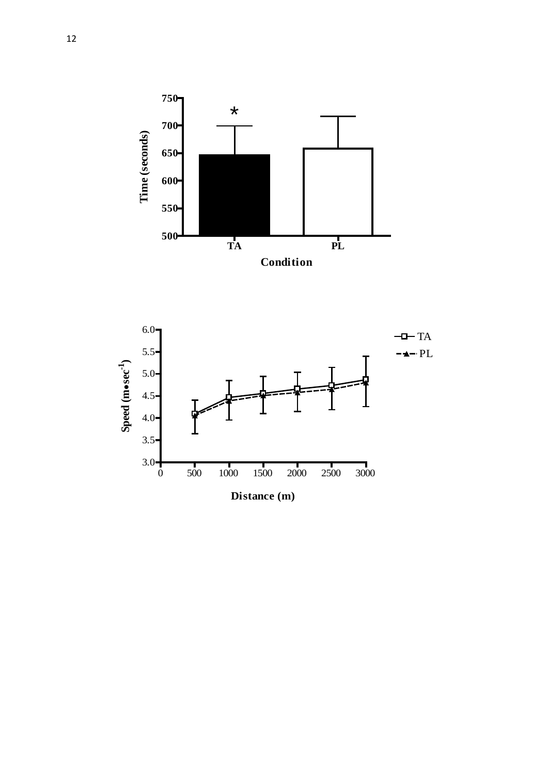

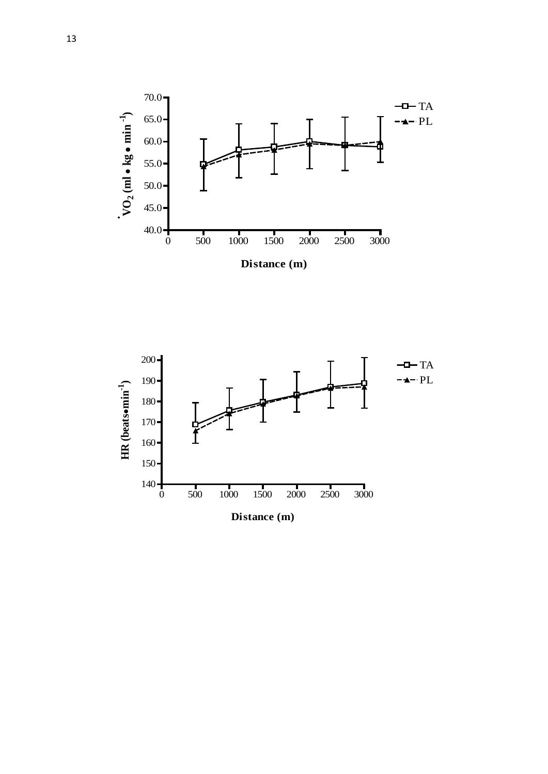